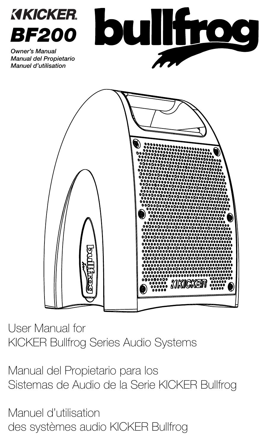

*Owner's Manual Manual del Propietario Manuel d'utilisation*





User Manual for KICKER Bullfrog Series Audio Systems

Manual del Propietario para los Sistemas de Audio de la Serie KICKER Bullfrog

Manuel d'utilisation des systèmes audio KICKER Bullfrog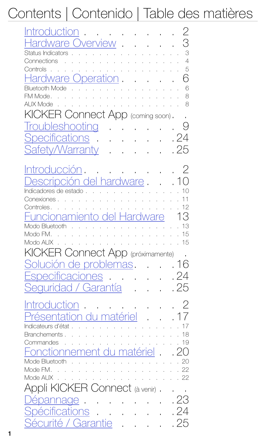# Contents | Contenido | Table des matières

| Introduct <u>ion</u><br>Hardware Overview<br>Status Indicators<br>Connections<br><u>Hardware Operation</u><br>Bluetooth Mode                                             | 3<br>3<br>$\overline{4}$<br>5<br>6<br>6<br>8<br>8 |
|--------------------------------------------------------------------------------------------------------------------------------------------------------------------------|---------------------------------------------------|
| KICKER Connect App (coming soon).<br>Troubleshooting<br>and a state of the                                                                                               |                                                   |
| Specifications.<br>and a straight and<br><b>Safety/Warranty</b><br>and a straight                                                                                        | . 24<br>. 25                                      |
| Intr <u>oducción</u><br>Descripción del hardware<br>Indicadores de estado<br>Conexiones.<br>Controles.<br>Funcionamiento del H<br><i>lardware</i><br>Modo Bluetooth 13   | 10<br>11<br>12<br>13                              |
| KICKER Connect App (próximamente).<br>Solución de problemas<br>Especificaciones 24<br>Seguridad / Garantía (1945)                                                        | .16                                               |
| <u>Introduction</u> 2<br>Présentation du matériel (17<br>Indicateurs d'état 17<br>Branchements. 18<br>Commandes 19<br>Fonctionnement du matériel 20<br>Mode Bluetooth 20 |                                                   |
| Appli KICKER Connect (à venir)<br>Dépannage<br>Spécifications 24<br>Sécurité / Garantie 25                                                                               | . 23                                              |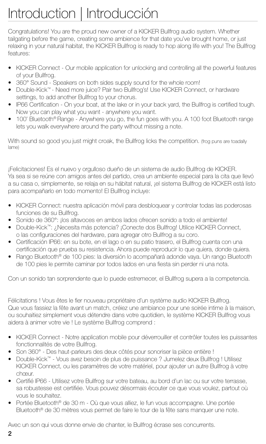# Introduction | Introducción

Congratulations! You are the proud new owner of a KICKER Bullfrog audio system. Whether tailgating before the game, creating some ambience for that date you've brought home, or just relaxing in your natural habitat, the KICKER Bullfrog is ready to hop along life with you! The Bullfrog features:

- KICKER Connect Our mobile application for unlocking and controlling all the powerful features of your Bullfrog.
- 360° Sound Speakers on both sides supply sound for the whole room!
- Double-Kick™ Need more juice? Pair two Bullfrog's! Use KICKER Connect, or hardware settings, to add another Bullfrog to your chorus.
- IP66 Certification On your boat, at the lake or in your back yard, the Bullfrog is certified tough. Now you can play what you want - anywhere you want.
- 100' Bluetooth® Range Anywhere you go, the fun goes with you. A 100 foot Bluetooth range lets you walk everywhere around the party without missing a note.

With sound so good you just might croak, the Bullfrog licks the competition. (frog puns are toadally lame)

¡Felicitaciones! Es el nuevo y orgulloso dueño de un sistema de audio Bullfrog de KICKER. Ya sea si se reúne con amigos antes del partido, crea un ambiente especial para la cita que llevó a su casa o, simplemente, se relaja en su hábitat natural, ¡el sistema Bullfrog de KICKER está listo para acompañarlo en todo momento! El Bullfrog incluye:

- KICKER Connect: nuestra aplicación móvil para desbloquear y controlar todas las poderosas funciones de su Bullfrog.
- Sonido de 360°: ¡los altavoces en ambos lados ofrecen sonido a todo el ambiente!
- Double-Kick™: ¿Necesita más potencia? ¡Conecte dos Bullfrog! Utilice KICKER Connect, o las configuraciones del hardware, para agregar otro Bullfrog a su coro.
- Certificación IP66: en su bote, en el lago o en su patio trasero, el Bullfrog cuenta con una certificación que prueba su resistencia. Ahora puede reproducir lo que quiera, donde quiera.
- Rango Bluetooth® de 100 pies: la diversión lo acompañará adonde vaya. Un rango Bluetooth de 100 pies le permite caminar por todos lados en una fiesta sin perder ni una nota.

Con un sonido tan sorprendente que lo puede estremecer, el Bullfrog supera a la competencia.

Félicitations ! Vous êtes le fier nouveau propriétaire d'un système audio KICKER Bullfrog. Que vous fassiez la fête avant un match, créiez une ambiance pour une soirée intime à la maison, ou souhaitiez simplement vous détendre dans votre quotidien, le système KICKER Bullfrog vous aidera à animer votre vie ! Le système Bullfrog comprend :

- KICKER Connect Notre application mobile pour déverrouiller et contrôler toutes les puissantes fonctionnalités de votre Bullfrog.
- Son 360° Des haut-parleurs des deux côtés pour sonoriser la pièce entière !
- Double-Kick™ Vous avez besoin de plus de puissance ? Jumelez deux Bullfrog ! Utilisez KICKER Connect, ou les paramètres de votre matériel, pour ajouter un autre Bullfrog à votre chœur.
- Certifié IP66 Utilisez votre Bullfrog sur votre bateau, au bord d'un lac ou sur votre terrasse, sa robustesse est certifiée. Vous pouvez désormais écouter ce que vous voulez, partout où vous le souhaitez.
- Portée Bluetooth<sup>®</sup> de 30 m Où que vous alliez, le fun vous accompagne. Une portée Bluetooth<sup>®</sup> de 30 mètres vous permet de faire le tour de la fête sans manquer une note.

Avec un son qui vous donne envie de chanter, le Bullfrog écrase ses concurrents.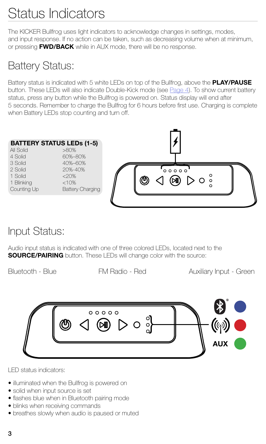# Status Indicators

The KICKER Bullfrog uses light indicators to acknowledge changes in settings, modes, and input response. If no action can be taken, such as decreasing volume when at minimum, or pressing **FWD/BACK** while in AUX mode, there will be no response.

### Battery Status:

Battery status is indicated with 5 white LEDs on top of the Bullfrog, above the **PLAY/PAUSE** button. These LEDs will also indicate Double-Kick mode (see Page 4). To show current battery status, press any button while the Bullfrog is powered on. Status display will end after 5 seconds. Remember to charge the Bullfrog for 6 hours before first use. Charging is complete when Battery LEDs stop counting and turn off.



### Input Status:

Audio input status is indicated with one of three colored LEDs, located next to the **SOURCE/PAIRING** button. These LEDs will change color with the source:

Bluetooth - Blue **FM Radio - Red Auxiliary Input - Green** 



LED status indicators:

- illuminated when the Bullfrog is powered on
- solid when input source is set
- flashes blue when in Bluetooth pairing mode
- blinks when receiving commands
- breathes slowly when audio is paused or muted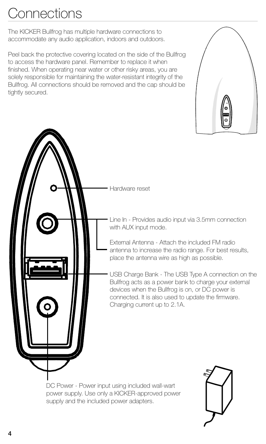# **Connections**

The KICKER Bullfrog has multiple hardware connections to accommodate any audio application, indoors and outdoors.

Peel back the protective covering located on the side of the Bullfrog to access the hardware panel. Remember to replace it when finished. When operating near water or other risky areas, you are solely responsible for maintaining the water-resistant integrity of the Bullfrog. All connections should be removed and the cap should be tightly secured.





power supply. Use only a KICKER-approved power supply and the included power adapters.

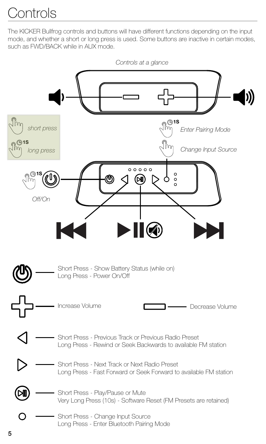# **Controls**

The KICKER Bullfrog controls and buttons will have different functions depending on the input mode, and whether a short or long press is used. Some buttons are inactive in certain modes, such as FWD/BACK while in AUX mode.

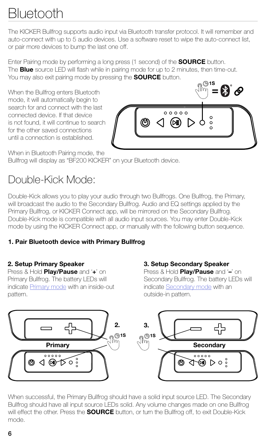# Bluetooth

The KICKER Bullfrog supports audio input via Bluetooth transfer protocol. It will remember and auto-connect with up to 5 audio devices. Use a software reset to wipe the auto-connect list, or pair more devices to bump the last one off.

Enter Pairing mode by performing a long press (1 second) of the **SOURCE** button. The **Blue** source LED will flash while in pairing mode for up to 2 minutes, then time-out. You may also exit pairing mode by pressing the **SOURCE** button.

When the Bullfrog enters Bluetooth mode, it will automatically begin to search for and connect with the last connected device. If that device is not found, it will continue to search for the other saved connections until a connection is established.



When in Bluetooth Pairing mode, the

Bullfrog will display as "BF200 KICKER" on your Bluetooth device.

### Double-Kick Mode:

Double-Kick allows you to play your audio through two Bullfrogs. One Bullfrog, the Primary, will broadcast the audio to the Secondary Bullfrog. Audio and EQ settings applied by the Primary Bullfrog, or KICKER Connect app, will be mirrored on the Secondary Bullfrog. Double-Kick mode is compatible with all audio input sources. You may enter Double-Kick mode by using the KICKER Connect app, or manually with the following button sequence.

### **1. Pair Bluetooth device with Primary Bullfrog**

### **2. Setup Primary Speaker**

Press & Hold **Play/Pause** and '**+**' on Primary Bullfrog. The battery LEDs will indicate Primary mode with an inside-out pattern.

### **3. Setup Secondary Speaker**

Press & Hold **Play/Pause** and '**–**' on Secondary Bullfrog. The battery LEDs will indicate Secondary mode with an outside-in pattern.



When successful, the Primary Bullfrog should have a solid input source LED. The Secondary Bullfrog should have all input source LEDs solid. Any volume changes made on one Bullfrog will effect the other. Press the **SOURCE** button, or turn the Bullfrog off, to exit Double-Kick mode.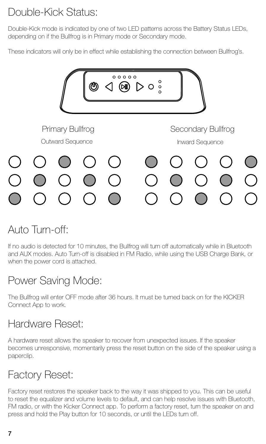## Double-Kick Status:

Double-Kick mode is indicated by one of two LED patterns across the Battery Status LEDs, depending on if the Bullfrog is in Primary mode or Secondary mode.

These indicators will only be in effect while establishing the connection between Bullfrog's.



## Auto Turn-off:

If no audio is detected for 10 minutes, the Bullfrog will turn off automatically while in Bluetooth and AUX modes. Auto Turn-off is disabled in FM Radio, while using the USB Charge Bank, or when the power cord is attached.

## Power Saving Mode:

The Bullfrog will enter OFF mode after 36 hours. It must be turned back on for the KICKER Connect App to work.

## Hardware Reset:

A hardware reset allows the speaker to recover from unexpected issues. If the speaker becomes unresponsive, momentarily press the reset button on the side of the speaker using a paperclip.

## Factory Reset:

Factory reset restores the speaker back to the way it was shipped to you. This can be useful to reset the equalizer and volume levels to default, and can help resolve issues with Bluetooth, FM radio, or with the Kicker Connect app. To perform a factory reset, turn the speaker on and press and hold the Play button for 10 seconds, or until the LEDs turn off.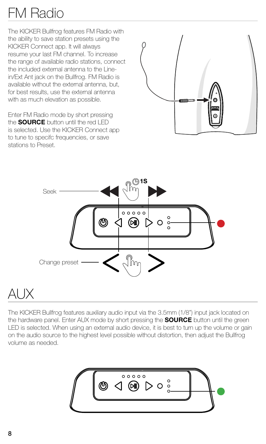# FM Radio

The KICKER Bullfrog features FM Radio with the ability to save station presets using the KICKER Connect app. It will always resume your last FM channel. To increase the range of available radio stations, connect the included external antenna to the Linein/Ext Ant jack on the Bullfrog. FM Radio is available without the external antenna, but, for best results, use the external antenna with as much elevation as possible.

Enter FM Radio mode by short pressing the **SOURCE** button until the red LED is selected. Use the KICKER Connect app to tune to specifc frequencies, or save stations to Preset.





# AUX

The KICKER Bullfrog features auxiliary audio input via the 3.5mm (1/8") input jack located on the hardware panel. Enter AUX mode by short pressing the **SOURCE** button until the green LED is selected. When using an external audio device, it is best to turn up the volume or gain on the audio source to the highest level possible without distortion, then adjust the Bullfrog volume as needed.

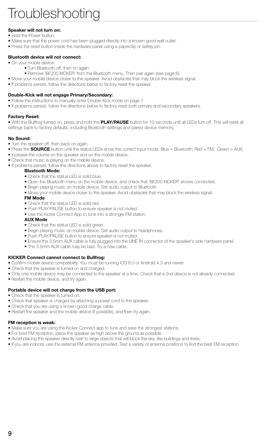#### **Speaker will not turn on:**

- Hold the Power button.
- Make sure that the power cord has been plugged directly into a known-good wall outlet.
- Press the reset button inside the hardware panel using a paperclip or safety pin.

#### **Bluetooth device will not connect:**

- On your mobile device:
	- Turn Bluetooth off, then on again.
	- Remove 'BF200 KICKER' from the Bluetooth menu. Then pair again (see page 6).
- Move your mobile device closer to the speaker. Avoid obstacles that may block the wireless signal.
- If problems persist, follow the directions below to factory reset the speaker.

#### **Double-Kick will not engage Primary/Secondary:**

- Follow the instructions to manually enter Double-Kick mode on page 7.
- If problems persist, follow the directions below to factory reset both primary and secondary speakers.

#### **Factory Reset:**

• With the Bullfrog turned on, press and hold the **PLAY/PAUSE** button for 10 seconds until all LEDs turn off. This will reset all settings back to factory defaults, including Bluetooth settings and paired device memory.

#### **No Sound:**

- Turn the speaker off, then back on again.
- Press the **SOURCE** button until the status LEDs show the correct input mode. Blue = Bluetooth; Red = FM; Green = AUX.
- Increase the volume on the speaker and on the mobile device.
- Check that music is playing on the mobile device.
- If problems persist, follow the directions above to factory reset the speaker.

#### **Bluetooth Mode:**

- Check that the status LED is solid blue.
- Open the Bluetooth menu on the mobile device, and check that 'BF200 KICKER' shows connected.
- Begin playing music on mobile device. Set audio output to Bluetooth.
- Move your mobile device closer to the speaker. Avoid obstacles that may block the wireless signal.

#### **FM Mode**

- Check that the status LED is solid red.
- Push PLAY/PAUSE button to ensure speaker is not muted.
- Use the Kicker Connect App to tune into a stronger FM station.

#### **AUX Mode**

- Check that the status LED is solid green.
- Begin playing music on mobile device. Set audio output to headphones.
- Push PLAY/PAUSE button to ensure speaker is not muted.
- Ensure the 3.5mm AUX cable is fully plugged into the LINE IN connector of the speaker's side hardware panel.
- The 3.5mm AUX cable may be bad. Try a new cable.

#### **KICKER Connect cannot connect to Bullfrog:**

- Confirm mobile device compatibility. You must be running iOS 8.0 or Android 4.3 and newer
- Check that the speaker is turned on and charged.
- Only one mobile device may be connected to the speaker at a time. Check that a 2nd device is not already connected.
- Restart the mobile device, and try again.

#### **Portable device will not charge from the USB port:**

- Check that the speaker is turned on.
- Check that speaker is charged by attaching a power cord to the speaker.
- Check that you are using a known-good charge cable.
- Restart the speaker and the mobile device (if possible), and then try again.

#### **FM reception is weak:**

- Make sure you are using the Kicker Connect app to tune and save the strongest stations.
- For best FM reception, place the speaker as high above the ground as possible.
- Avoid placing the speaker directly next to large objects that will block the sky, like buildings and trees.
- If you are indoors, use the external FM antenna provided. Test a variety of antenna positions to find the best FM reception.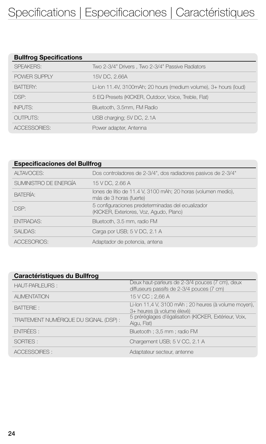| <b>Bullfrog Specifications</b> |                                                                  |
|--------------------------------|------------------------------------------------------------------|
| <b>SPEAKERS:</b>               | Two 2-3/4" Drivers, Two 2-3/4" Passive Radiators                 |
| POWER SUPPLY                   | 15V DC, 2.66A                                                    |
| <b>BATTERY:</b>                | Li-Ion 11.4V, 3100mAh; 20 hours (medium volume), 3+ hours (loud) |
| DSP:                           | 5 EQ Presets (KICKER, Outdoor, Voice, Treble, Flat)              |
| <b>INPUTS:</b>                 | Bluetooth, 3.5mm, FM Radio                                       |
| <b>OUTPUTS:</b>                | USB charging; 5V DC, 2.1A                                        |
| ACCESSORIES:                   | Power adapter, Antenna                                           |

| <b>Especificaciones del Bullfrog</b> |                                                                                              |  |  |  |
|--------------------------------------|----------------------------------------------------------------------------------------------|--|--|--|
| <b>ALTAVOCES:</b>                    | Dos controladores de 2-3/4", dos radiadores pasivos de 2-3/4"                                |  |  |  |
| SUMINISTRO DE ENERGÍA                | 15 V DC, 2.66 A                                                                              |  |  |  |
| <b>BATERÍA:</b>                      | lones de litio de 11.4 V, 3100 mAh; 20 horas (volumen medio),<br>más de 3 horas (fuerte)     |  |  |  |
| DSP:                                 | 5 configuraciones predeterminadas del ecualizador<br>(KICKER, Exteriores, Voz, Agudo, Plano) |  |  |  |
| <b>ENTRADAS:</b>                     | Bluetooth, 3.5 mm, radio FM                                                                  |  |  |  |
| <b>SALIDAS:</b>                      | Carga por USB; 5 V DC, 2.1 A                                                                 |  |  |  |
| ACCESORIOS:                          | Adaptador de potencia, antena                                                                |  |  |  |

| <b>Caractéristiques du Bullfrog</b>    |                                                                                              |  |  |  |
|----------------------------------------|----------------------------------------------------------------------------------------------|--|--|--|
| <b>HAUT-PARLEURS:</b>                  | Deux haut-parleurs de 2-3/4 pouces (7 cm), deux<br>diffuseurs passifs de 2-3/4 pouces (7 cm) |  |  |  |
| <b>ALIMENTATION</b>                    | 15 V CC; 2,66 A                                                                              |  |  |  |
| <b>BATTERIE:</b>                       | Li-Ion 11,4 V, 3100 mAh; 20 heures (à volume moyen),<br>3+ heures (à volume élevé)           |  |  |  |
| TRAITEMENT NUMÉRIQUE DU SIGNAL (DSP) : | 5 préréglages d'égalisation (KICKER, Extérieur, Voix,<br>Aigu, Flat)                         |  |  |  |
| ENTRÉES :                              | Bluetooth; 3,5 mm; radio FM                                                                  |  |  |  |
| SORTIES:                               | Chargement USB; 5 V CC, 2.1 A                                                                |  |  |  |
| ACCESSOIRES:                           | Adaptateur secteur, antenne                                                                  |  |  |  |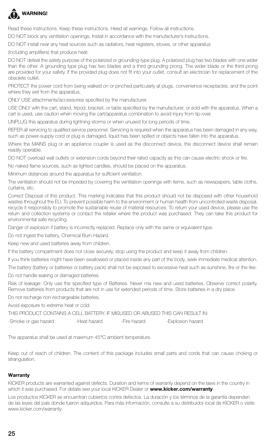

Read these instructions. Keep these instructions. Heed all warnings. Follow all instructions.

DO NOT block any ventilation openings. Install in accordance with the manufacturer's instructions.

DO NOT install near any heat sources such as radiators, heat registers, stoves, or other apparatus

(including amplifiers) that produce heat.

DO NOT defeat the safety purpose of the polarized or grounding-type plug. A polarized plug has two blades with one wider than the other. A grounding type plug has two blades and a third grounding prong. The wider blade or the third prong are provided for your safety. If the provided plug does not fit into your outlet, consult an electrician for replacement of the obsolete outlet.

PROTECT the power cord from being walked on or pinched particularly at plugs, convenience receptacles, and the point where they exit from the apparatus.

ONLY USE attachments/accessories specified by the manufacturer.

USE ONLY with the cart, stand, tripod, bracket, or table specified by the manufacturer, or sold with the apparatus. When a cart is used, use caution when moving the cart/apparatus combination to avoid injury from tip-over.

UNPLUG this apparatus during lightning storms or when unused for long periods of time.

REFER all servicing to qualified service personnel. Servicing is required when the apparatus has been damaged in any way, such as power-supply cord or plug is damaged, liquid has been spilled or objects have fallen into the apparatus.

Where the MAINS plug or an appliance coupler is used as the disconnect device, the disconnect device shall remain readily operable.

DO NOT overload wall outlets or extension cords beyond their rated capacity as this can cause electric shock or fire.

No naked flame sources, such as lighted candles, should be placed on the apparatus.

Minimum distances around the apparatus for sufficient ventilation.

The ventilation should not be impeded by covering the ventilation openings with items, such as newspapers, table cloths, curtains, etc.

Correct Disposal of this product. This marking indicates that this product should not be disposed with other household wastes throughout the EU. To prevent possible harm to the environment or human health from uncontrolled waste disposal, recycle it responsibly to promote the sustainable reuse of material resources. To return your used device, please use the return and collection systems or contact the retailer where the product was purchased. They can take this product for environmental safe recycling.

Danger of explosion if battery is incorrectly replaced. Replace only with the same or equivalent type.

Do not ingest the battery, Chemical Burn Hazard.

Keep new and used batteries away from children.

If the battery compartment does not close securely, stop using the product and keep it away from children.

If you think batteries might have been swallowed or placed inside any part of the body, seek immediate medical attention.

The battery (battery or batteries or battery pack) shall not be exposed to excessive heat such as sunshine, fire or the like. Do not handle leaking or damaged batteries.

Risk of leakage. Only use the specified type of Batteries. Never mix new and used batteries. Observe correct polarity. Remove batteries from products that are not in use for extended periods of time. Store batteries in a dry place.

Do not recharge non-rechargeable batteries.

Avoid exposure to extreme heat or cold.

| THIS PRODUCT CONTAINS A CELL BATTERY. IF MISUSED OR ABUSED THIS CAN RESULT IN: |              |              |                   |
|--------------------------------------------------------------------------------|--------------|--------------|-------------------|
| -Smoke or gas hazard                                                           | -Heat hazard | -Fire hazard | -Explosion hazard |

The apparatus shall be used at maximum 45°C ambient temperature.

Keep out of reach of children. The content of this package includes small parts and cords that can cause choking or strangulation.

#### **Warranty**

KICKER products are warranted against defects. Duration and terms of warranty depend on the laws in the country in which it was purchased. For details see your local KICKER Dealer or **www.kicker.com/warranty**.

Los productos KICKER se encuentran cubiertos contra defectos. La duración y los términos de la garantía dependen de las leyes del país donde fueron adquiridos. Para más información, consulte a su distribuidor local de KICKER o visite www.kicker.com/warranty.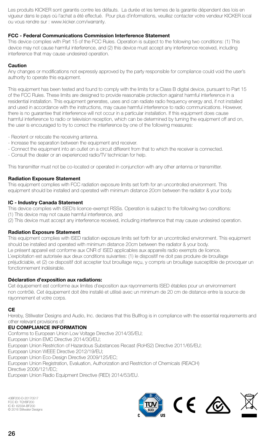Les produits KICKER sont garantis contre les défauts. La durée et les termes de la garantie dépendent des lois en vigueur dans le pays où l'achat a été effectué. Pour plus d'informations, veuillez contacter votre vendeur KICKER local ou vous rendre sur : www.kicker.com/warranty.

#### **FCC - Federal Communications Commission Interference Statement**

This device complies with Part 15 of the FCC Rules. Operation is subject to the following two conditions: (1) This device may not cause harmful interference, and (2) this device must accept any interference received, including interference that may cause undesired operation.

#### **Caution**

Any changes or modifications not expressly approved by the party responsible for compliance could void the user's authority to operate this equipment.

This equipment has been tested and found to comply with the limits for a Class B digital device, pursuant to Part 15 of the FCC Rules. These limits are designed to provide reasonable protection against harmful interference in a residential installation. This equipment generates, uses and can radiate radio frequency energy and, if not installed and used in accordance with the instructions, may cause harmful interference to radio communications. However, there is no guarantee that interference will not occur in a particular installation. If this equipment does cause harmful interference to radio or television reception, which can be determined by turning the equipment off and on, the user is encouraged to try to correct the interference by one of the following measures:

- Reorient or relocate the receiving antenna.
- Increase the separation between the equipment and receiver.
- Connect the equipment into an outlet on a circuit different from that to which the receiver is connected.
- Consult the dealer or an experienced radio/TV technician for help.

This transmitter must not be co-located or operated in conjunction with any other antenna or transmitter.

#### **Radiation Exposure Statement**

This equipment complies with FCC radiation exposure limits set forth for an uncontrolled environment. This equipment should be installed and operated with minimum distance 20cm between the radiator & your body.

#### **IC - Industry Canada Statement**

This device complies with ISED's licence-exempt RSSs. Operation is subject to the following two conditions:

(1) This device may not cause harmful interference, and

(2) This device must accept any interference received, including interference that may cause undesired operation.

#### **Radiation Exposure Statement**

This equipment complies with ISED radiation exposure limits set forth for an uncontrolled environment. This equipment should be installed and operated with minimum distance 20cm between the radiator & your body. Le présent appareil est conforme aux CNR d' ISED applicables aux appareils radio exempts de licence. L'exploitation est autorisée aux deux conditions suivantes: (1) le dispositif ne doit pas produire de brouillage préjudiciable, et (2) ce dispositif doit accepter tout brouillage reçu, y compris un brouillage susceptible de provoquer un fonctionnement indésirable.

#### **Déclaration d'exposition aux radiations:**

Cet équipement est conforme aux limites d'exposition aux rayonnements ISED établies pour un environnement non contrôlé. Cet équipement doit être installé et utilisé avec un minimum de 20 cm de distance entre la source de rayonnement et votre corps.

#### **CE**

Hereby, Stillwater Designs and Audio, Inc. declares that this Bullfrog is in compliance with the essential requirements and other relevant provisions of:

#### **EU COMPLIANCE INFORMATION**

Conforms to European Union Low Voltage Directive 2014/35/EU; European Union EMC Directive 2014/30/EU; European Union Restriction of Hazardous Substances Recast (RoHS2) Directive 2011/65/EU; European Union WEEE Directive 2012/19/EU; European Union Eco-Design Directive 2009/125/EC; European Union Registration, Evaluation, Authorization and Restriction of Chemicals (REACH) Directive 2006/121/EC; European Union Radio Equipment Directive (RED) 2014/53/EU.

43BF200-D-20170517 FCC ID: TQYBF200 IC ID: 6233A-BF200 © 2016 Stillwater Designs

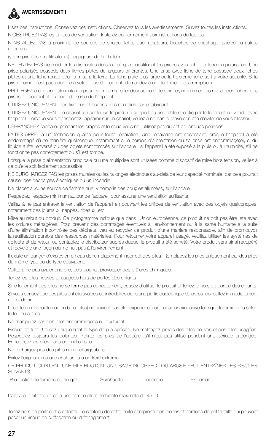

### **AVERTISSEMENT !**

Lisez ces instructions. Conservez ces instructions. Observez tous les avertissements. Suivez toutes les instructions.

N'OBSTRUEZ PAS les orifices de ventilation. Installez conformément aux instructions du fabricant.

N'INSTALLEZ PAS à proximité de sources de chaleur telles que radiateurs, bouches de chauffage, poêles ou autres appareils

(y compris des amplificateurs) dégageant de la chaleur.

NE TENTEZ PAS de modifier les dispositifs de sécurité que constituent les prises avec fiche de terre ou polarisées. Une prise polarisée possède deux fiches plates de largeurs différentes. Une prise avec fiche de terre possède deux fiches plates et une fiche ronde pour la mise à la terre. La fiche plate plus large ou la troisième fiche sert à votre sécurité. Si la prise fournie n'est pas adaptée à votre prise de courant, demandez à un électricien de la remplacer.

PROTÉGEZ le cordon d'alimentation pour éviter de marcher dessus ou de le coincer, notamment au niveau des fiches, des prises de courant et du point de sortie de l'appareil.

UTILISEZ UNIQUEMENT des fixations et accessoires spécifiés par le fabricant.

UTILISEZ UNIQUEMENT un chariot, un socle, un trépied, un support ou une table spécifié par le fabricant ou vendu avec l'appareil. Lorsque vous transportez l'appareil sur un chariot, veillez à ne pas le renverser, afin d'éviter de vous blesser.

DÉBRANCHEZ l'appareil pendant les orages et lorsque vous ne l'utilisez pas durant de longues périodes.

FAITES APPEL à un technicien qualifié pour toute réparation. Une réparation est nécessaire lorsque l'appareil a été endommagé d'une manière quelconque, notamment si le cordon d'alimentation ou sa prise est endommagé(e), si du liquide a été renversé ou des objets sont tombés sur l'appareil, si l'appareil a été exposé à la pluie ou à l'humidité, s'il ne fonctionne pas correctement ou s'il est tombé.

Lorsque la prise d'alimentation principale ou une multiprise sont utilisées comme dispositif de mise hors tension, veillez à ce qu'elle soit facilement accessible.

NE SURCHARGEZ PAS les prises murales ou les rallonges électriques au-delà de leur capacité nominale, car cela pourrait causer des décharges électriques ou un incendie.

Ne placez aucune source de flamme nue, y compris des bougies allumées, sur l'appareil.

Respectez l'espace minimum autour de l'appareil pour assurer une ventilation suffisante.

Veillez à ne pas entraver la ventilation de l'appareil en couvrant les orifices de ventilation avec des objets quelconques, notamment des journaux, nappes, rideaux, etc.

Mise au rebut du produit. Ce pictogramme indique que dans l'Union européenne, ce produit ne doit pas être jeté avec les ordures ménagères. Pour prévenir des dommages éventuels à l'environnement ou à la santé humaine à la suite d'une élimination incontrôlée des déchets, veuillez recycler ce produit d'une manière responsable, afin de promouvoir la réutilisation durable des ressources matérielles. Pour retourner votre appareil usagé, veuillez utiliser les systèmes de collecte et de retour, ou contactez le distributeur auprès duquel le produit a été acheté. Votre produit sera ainsi récupéré et recyclé d'une façon qui ne nuit pas à l'environnement.

Il existe un danger d'explosion en cas de remplacement incorrect des piles. Remplacez les piles uniquement par des piles du même type ou de type équivalent.

Veillez à ne pas avaler une pile, cela pourrait provoquer des brûlures chimiques.

Tenez les piles neuves et usagées hors de portée des enfants.

Si le logement des piles ne se ferme pas correctement, cessez d'utiliser le produit et tenez-le hors de portée des enfants.

Si vous pensez que des piles ont été avalées ou introduites dans une partie quelconque du corps, consultez immédiatement un médecin.

Les piles (individuelles ou en bloc-piles) ne doivent pas être exposées à une chaleur excessive telle que la lumière du soleil, le feu ou autres.

Ne manipulez pas des piles endommagées ou qui fuient.

Risque de fuite. Utilisez uniquement le type de pile spécifié. Ne mélangez jamais des piles neuves et des piles usagées. Respectez toujours les polarités. Retirez les piles de l'appareil s'il n'est pas utilisé pendant une période prolongée. Entreposez les piles dans un endroit sec.

Ne rechargez pas des piles non rechargeables.

Évitez l'exposition à une chaleur ou à un froid extrême.

CE PRODUIT CONTIENT UNE PILE BOUTON. UN USAGE INCORRECT OU ABUSIF PEUT ENTRAÎNER LES RISQUES SUIVANTS :

-Production de fumées ou de gaz de -Surchauffe de -Incendie --------------------

L'appareil doit être utilisé à une température ambiante maximale de 45 ° C.

Tenez hors de portée des enfants. Le contenu de cette boîte comprend des pièces et cordons de petite taille qui peuvent poser un risque de suffocation ou d'étranglement.